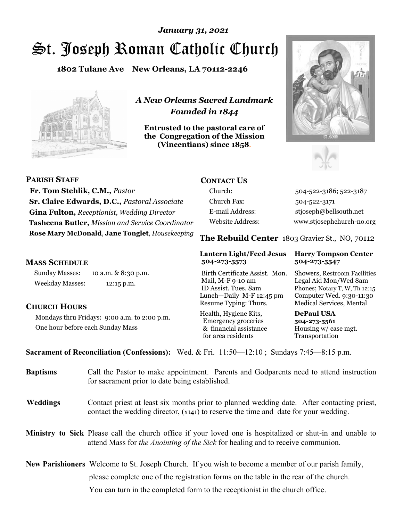# St. Joseph Roman Catholic Church *January 31, 2021*

**1802 Tulane Ave New Orleans, LA 70112-2246**



*A New Orleans Sacred Landmark Founded in 1844* 

**Entrusted to the pastoral care of the Congregation of the Mission (Vincentians) since 1858**.





| <b>PARISH STAFF</b>                                | <b>CONTACT US</b>       |                                                |
|----------------------------------------------------|-------------------------|------------------------------------------------|
| Fr. Tom Stehlik, C.M., Pastor                      | Church:                 | 504-522-3186; 522-3187                         |
| Sr. Claire Edwards, D.C., Pastoral Associate       | Church Fax:             | 504-522-3171                                   |
| <b>Gina Fulton, Receptionist, Wedding Director</b> | E-mail Address:         | stjoseph@bellsouth.net                         |
| Tasheena Butler, Mission and Service Coordinator   | <b>Website Address:</b> | www.stjosephchurch-no.org                      |
| Rose Mary McDonald, Jane Tonglet, Housekeeping     |                         | The Rebuild Center 1803 Gravier St., NO, 70112 |

#### **MASS SCHEDULE**

Sunday Masses: 10 a.m. & 8:30 p.m. Weekday Masses: 12:15 p.m.

#### **CHURCH HOURS**

Mondays thru Fridays: 9:00 a.m. to 2:00 p.m. One hour before each Sunday Mass

## **504-273-5573 504-273-5547**

Birth Certificate Assist. Mon. Showers, Restroom Facilities Mail, M-F 9-10 am Legal Aid Mon/Wed 8am ID Assist. Tues. 8am Phones; Notary T, W, Th 12:15 Lunch—Daily M-F 12:45 pm Computer Wed. 9:30-11:30 Resume Typing: Thurs. Medical Services, Mental

Health, Hygiene Kits, **DePaul USA**  Emergency groceries **504-273-5561** & financial assistance Housing w/ case mgt.<br>for area residents Transportation for area residents

## **Lantern Light/Feed Jesus Harry Tompson Center**

**Sacrament of Reconciliation (Confessions):** Wed. & Fri. 11:50—12:10 ; Sundays 7:45—8:15 p.m.

| <b>Baptisms</b> | Call the Pastor to make appointment. Parents and Godparents need to attend instruction<br>for sacrament prior to date being established.                                                                   |
|-----------------|------------------------------------------------------------------------------------------------------------------------------------------------------------------------------------------------------------|
| Weddings        | Contact priest at least six months prior to planned wedding date. After contacting priest,<br>contact the wedding director, $(x_{141})$ to reserve the time and date for your wedding.                     |
|                 | <b>Ministry to Sick</b> Please call the church office if your loved one is hospitalized or shut-in and unable to<br>attend Mass for <i>the Anointing of the Sick</i> for healing and to receive communion. |

**New Parishioners** Welcome to St. Joseph Church. If you wish to become a member of our parish family, please complete one of the registration forms on the table in the rear of the church. You can turn in the completed form to the receptionist in the church office.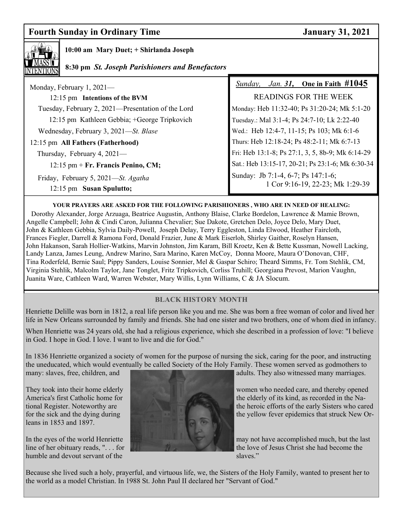### **Fourth Sunday in Ordinary Time January 31, 2021**



#### **10:00 am Mary Duet; + Shirlanda Joseph**

### **8:30 pm** *St. Joseph Parishioners and Benefactors*

| Monday, February 1, $2021-$                                     | <i>Sunday, Jan. 31,</i> One in Faith $\#1045$                          |  |
|-----------------------------------------------------------------|------------------------------------------------------------------------|--|
| 12:15 pm Intentions of the BVM                                  | <b>READINGS FOR THE WEEK</b>                                           |  |
| Tuesday, February 2, 2021—Presentation of the Lord              | Monday: Heb 11:32-40; Ps 31:20-24; Mk 5:1-20                           |  |
| 12:15 pm Kathleen Gebbia; +George Tripkovich                    | Tuesday.: Mal 3:1-4; Ps 24:7-10; Lk 2:22-40                            |  |
| Wednesday, February 3, 2021—St. Blase                           | Wed.: Heb 12:4-7, 11-15; Ps 103; Mk 6:1-6                              |  |
| 12:15 pm All Fathers (Fatherhood)                               | Thurs: Heb 12:18-24; Ps 48:2-11; Mk 6:7-13                             |  |
| Thursday, February 4, $2021-$                                   | Fri: Heb 13:1-8; Ps 27:1, 3, 5, 8b-9; Mk 6:14-29                       |  |
| $12:15$ pm + Fr. Francis Penino, CM;                            | Sat.: Heb 13:15-17, 20-21; Ps 23:1-6; Mk 6:30-34                       |  |
| Friday, February 5, 2021—St. Agatha<br>12:15 pm Susan Spulutto; | Sunday: Jb 7:1-4, 6-7; Ps 147:1-6;<br>1 Cor 9:16-19, 22-23; Mk 1:29-39 |  |

#### **YOUR PRAYERS ARE ASKED FOR THE FOLLOWING PARISHIONERS , WHO ARE IN NEED OF HEALING:**

 Dorothy Alexander, Jorge Arzuaga, Beatrice Augustin, Anthony Blaise, Clarke Bordelon, Lawrence & Mamie Brown, Angelle Campbell; John & Cindi Caron, Julianna Chevalier; Sue Dakote, Gretchen Delo, Joyce Delo, Mary Duet, John & Kathleen Gebbia, Sylvia Daily-Powell, Joseph Delay, Terry Eggleston, Linda Elwood, Heather Faircloth, Frances Fiegler, Darrell & Ramona Ford, Donald Frazier, June & Mark Eiserloh, Shirley Gaither, Roselyn Hansen, John Hakanson, Sarah Hollier-Watkins, Marvin Johnston, Jim Karam, Bill Kroetz, Ken & Bette Kussman, Nowell Lacking, Landy Lanza, James Leung, Andrew Marino, Sara Marino, Karen McCoy, Donna Moore, Maura O'Donovan, CHF, Tina Roderfeld, Bernie Saul; Pippy Sanders, Louise Sonnier, Mel & Gaspar Schiro; Theard Simms, Fr. Tom Stehlik, CM, Virginia Stehlik, Malcolm Taylor, Jane Tonglet, Fritz Tripkovich, Corliss Truhill; Georgiana Prevost, Marion Vaughn, Juanita Ware, Cathleen Ward, Warren Webster, Mary Willis, Lynn Williams, C & JA Slocum.

#### **BLACK HISTORY MONTH**

Henriette Delille was born in 1812, a real life person like you and me. She was born a free woman of color and lived her life in New Orleans surrounded by family and friends. She had one sister and two brothers, one of whom died in infancy.

When Henriette was 24 years old, she had a religious experience, which she described in a profession of love: "I believe in God. I hope in God. I love. I want to live and die for God."

In 1836 Henriette organized a society of women for the purpose of nursing the sick, caring for the poor, and instructing the uneducated, which would eventually be called Society of the Holy Family. These women served as godmothers to

leans in 1853 and 1897.



many: slaves, free, children, and and adults. They also witnessed many marriages.

They took into their home elderly women who needed care, and thereby opened America's first Catholic home for the elderly of its kind, as recorded in the National Register. Noteworthy are the the heroic efforts of the early Sisters who cared for the sick and the dying during the yellow fever epidemics that struck New Or-

In the eyes of the world Henriette may not have accomplished much, but the last line of her obituary reads, "... for the love of Jesus Christ she had become the

Because she lived such a holy, prayerful, and virtuous life, we, the Sisters of the Holy Family, wanted to present her to the world as a model Christian. In 1988 St. John Paul II declared her "Servant of God."